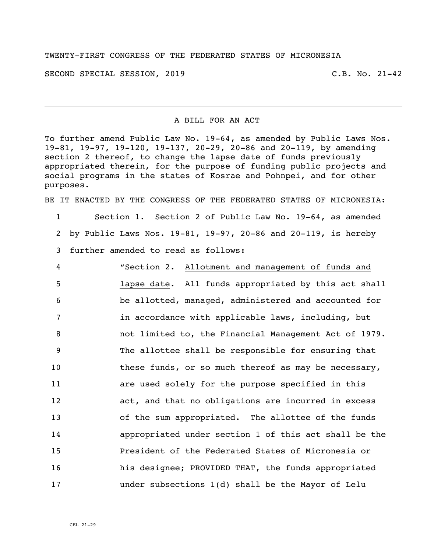## TWENTY-FIRST CONGRESS OF THE FEDERATED STATES OF MICRONESIA

SECOND SPECIAL SESSION, 2019 C.B. No. 21-42

## A BILL FOR AN ACT

To further amend Public Law No. 19-64, as amended by Public Laws Nos. 19-81, 19-97, 19-120, 19-137, 20-29, 20-86 and 20-119, by amending section 2 thereof, to change the lapse date of funds previously appropriated therein, for the purpose of funding public projects and social programs in the states of Kosrae and Pohnpei, and for other purposes.

BE IT ENACTED BY THE CONGRESS OF THE FEDERATED STATES OF MICRONESIA:

1 Section 1. Section 2 of Public Law No. 19-64, as amended 2 by Public Laws Nos. 19-81, 19-97, 20-86 and 20-119, is hereby 3 further amended to read as follows:

 "Section 2. Allotment and management of funds and lapse date. All funds appropriated by this act shall be allotted, managed, administered and accounted for **in accordance with applicable laws, including, but**  not limited to, the Financial Management Act of 1979. The allottee shall be responsible for ensuring that 10 these funds, or so much thereof as may be necessary, are used solely for the purpose specified in this act, and that no obligations are incurred in excess of the sum appropriated. The allottee of the funds appropriated under section 1 of this act shall be the President of the Federated States of Micronesia or his designee; PROVIDED THAT, the funds appropriated under subsections 1(d) shall be the Mayor of Lelu